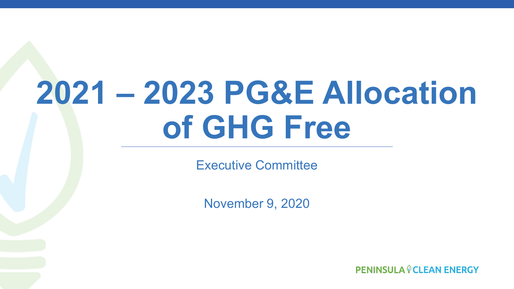# **2021 – 2023 PG&E Allocation of GHG Free**

Executive Committee

November 9, 2020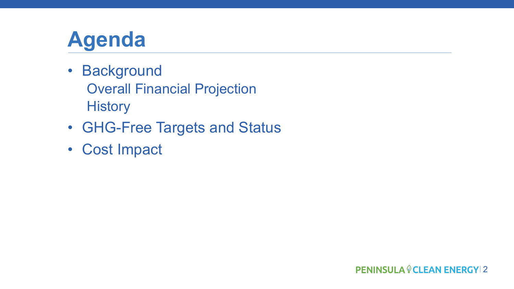# **Agenda**

- Background Overall Financial Projection **History**
- GHG-Free Targets and Status
- Cost Impact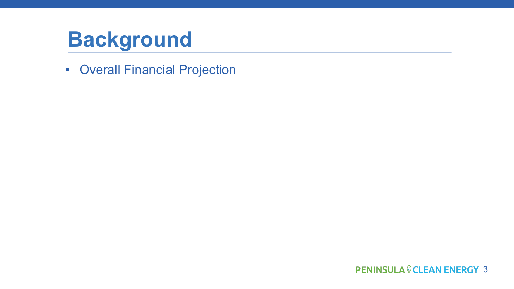• Overall Financial Projection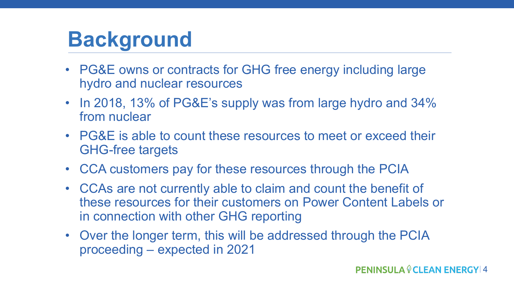- PG&E owns or contracts for GHG free energy including large hydro and nuclear resources
- In 2018, 13% of PG&E's supply was from large hydro and 34% from nuclear
- PG&E is able to count these resources to meet or exceed their GHG-free targets
- CCA customers pay for these resources through the PCIA
- CCAs are not currently able to claim and count the benefit of these resources for their customers on Power Content Labels or in connection with other GHG reporting
- Over the longer term, this will be addressed through the PCIA proceeding – expected in 2021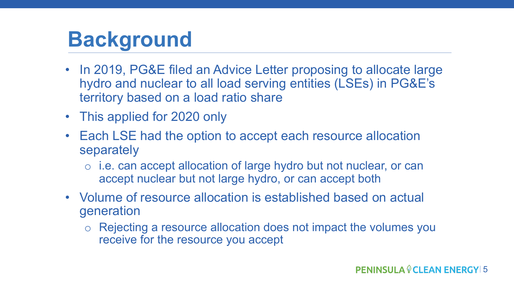- In 2019, PG&E filed an Advice Letter proposing to allocate large hydro and nuclear to all load serving entities (LSEs) in PG&E's territory based on a load ratio share
- This applied for 2020 only
- Each LSE had the option to accept each resource allocation separately
	- o i.e. can accept allocation of large hydro but not nuclear, or can accept nuclear but not large hydro, or can accept both
- Volume of resource allocation is established based on actual generation
	- o Rejecting a resource allocation does not impact the volumes you receive for the resource you accept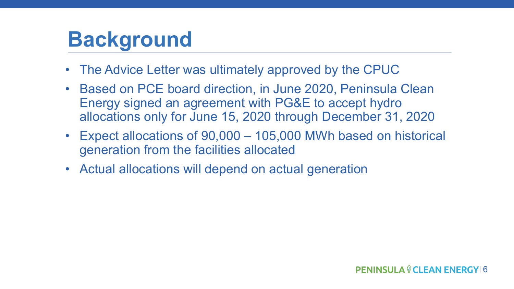- The Advice Letter was ultimately approved by the CPUC
- Based on PCE board direction, in June 2020, Peninsula Clean Energy signed an agreement with PG&E to accept hydro allocations only for June 15, 2020 through December 31, 2020
- Expect allocations of 90,000 105,000 MWh based on historical generation from the facilities allocated
- Actual allocations will depend on actual generation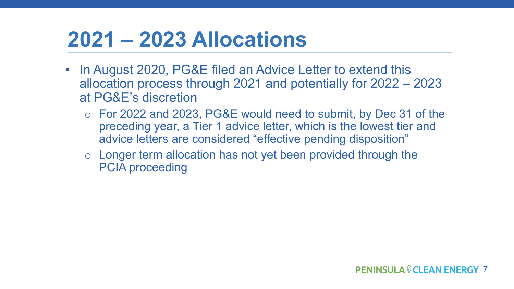# **2021 – 2023 Allocations**

- In August 2020, PG&E filed an Advice Letter to extend this allocation process through 2021 and potentially for 2022 – 2023 at PG&E's discretion
	- o For 2022 and 2023, PG&E would need to submit, by Dec 31 of the preceding year, a Tier 1 advice letter, which is the lowest tier and advice letters are considered "effective pending disposition"
	- o Longer term allocation has not yet been provided through the PCIA proceeding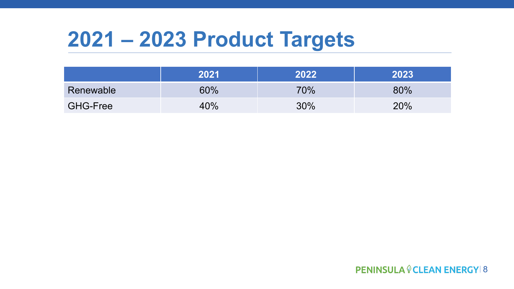### **2021 – 2023 Product Targets**

|                 | 2021 | 2022   | 2023 |
|-----------------|------|--------|------|
| Renewable       | 60%  | 70%    | 80%  |
| <b>GHG-Free</b> | 40%  | $30\%$ | 20%  |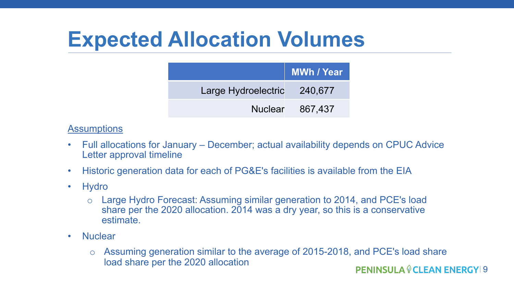# **Expected Allocation Volumes**

|                             | MWh / Year      |
|-----------------------------|-----------------|
| Large Hydroelectric 240,677 |                 |
|                             | Nuclear 867,437 |

#### **Assumptions**

- Full allocations for January December; actual availability depends on CPUC Advice Letter approval timeline
- Historic generation data for each of PG&E's facilities is available from the EIA
- Hydro
	- o Large Hydro Forecast: Assuming similar generation to 2014, and PCE's load share per the 2020 allocation. 2014 was a dry year, so this is a conservative estimate.
- Nuclear
	- o Assuming generation similar to the average of 2015-2018, and PCE's load share load share per the 2020 allocation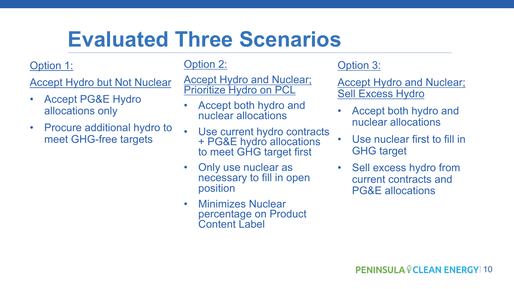# **Evaluated Three Scenarios**

#### Option 1:

Accept Hydro but Not Nuclear

- Accept PG&E Hydro allocations only
- Procure additional hydro to meet GHG-free targets

Option 2:

**Accept Hydro and Nuclear;** Prioritize Hydro on PCL

- Accept both hydro and nuclear allocations
- Use current hydro contracts + PG&E hydro allocations to meet GHG target first
- Only use nuclear as necessary to fill in open position
- Minimizes Nuclear percentage on Product Content Label

#### Option 3:

**Accept Hydro and Nuclear;** Sell Excess Hydro

- Accept both hydro and nuclear allocations
- Use nuclear first to fill in GHG target
- Sell excess hydro from current contracts and PG&E allocations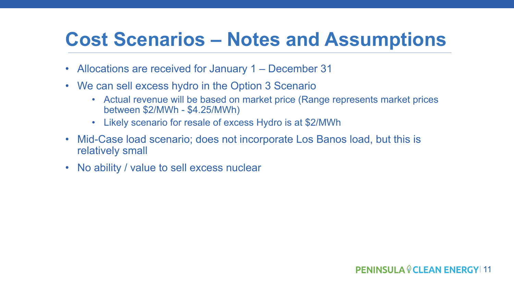### **Cost Scenarios – Notes and Assumptions**

- Allocations are received for January 1 December 31
- We can sell excess hydro in the Option 3 Scenario
	- Actual revenue will be based on market price (Range represents market prices between \$2/MWh - \$4.25/MWh)
	- Likely scenario for resale of excess Hydro is at \$2/MWh
- Mid-Case load scenario; does not incorporate Los Banos load, but this is relatively small
- No ability / value to sell excess nuclear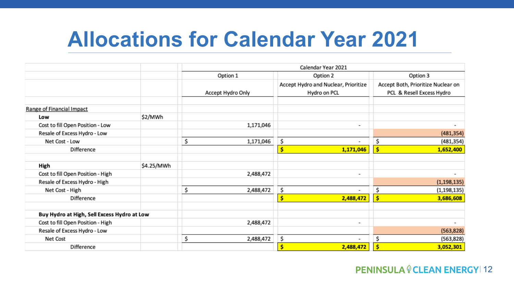# **Allocations for Calendar Year 2021**

|                                             |            | Calendar Year 2021   |    |                                                      |    |                                                                 |
|---------------------------------------------|------------|----------------------|----|------------------------------------------------------|----|-----------------------------------------------------------------|
|                                             |            | Option 1<br>Option 2 |    | Option 3                                             |    |                                                                 |
|                                             |            | Accept Hydro Only    |    | Accept Hydro and Nuclear, Prioritize<br>Hydro on PCL |    | Accept Both, Prioritize Nuclear on<br>PCL & Resell Excess Hydro |
| Range of Financial Impact                   |            |                      |    |                                                      |    |                                                                 |
| Low                                         | \$2/MWh    |                      |    |                                                      |    |                                                                 |
| Cost to fill Open Position - Low            |            | 1,171,046            |    | $\overline{\phantom{a}}$                             |    |                                                                 |
| Resale of Excess Hydro - Low                |            |                      |    |                                                      |    | (481, 354)                                                      |
| Net Cost - Low                              |            | \$<br>1,171,046      | \$ | $\overline{\phantom{a}}$                             | \$ | (481, 354)                                                      |
| Difference                                  |            |                      | \$ | 1,171,046                                            | \$ | 1,652,400                                                       |
| High                                        | \$4.25/MWh |                      |    |                                                      |    |                                                                 |
| Cost to fill Open Position - High           |            | 2,488,472            |    | $\overline{\phantom{a}}$                             |    | ٠                                                               |
| Resale of Excess Hydro - High               |            |                      |    |                                                      |    | (1, 198, 135)                                                   |
| Net Cost - High                             |            | \$<br>2,488,472      | \$ | $\overline{\phantom{a}}$                             | \$ | (1, 198, 135)                                                   |
| Difference                                  |            |                      | Ś  | 2,488,472                                            |    | 3,686,608                                                       |
| Buy Hydro at High, Sell Excess Hydro at Low |            |                      |    |                                                      |    |                                                                 |
| Cost to fill Open Position - High           |            | 2,488,472            |    | $\overline{\phantom{a}}$                             |    | $\overline{\phantom{a}}$                                        |
| Resale of Excess Hydro - Low                |            |                      |    |                                                      |    | (563, 828)                                                      |
| Net Cost                                    |            | \$<br>2,488,472      | \$ | $\overline{\phantom{a}}$                             | \$ | (563, 828)                                                      |
| Difference                                  |            |                      | \$ | 2,488,472                                            |    | 3,052,301                                                       |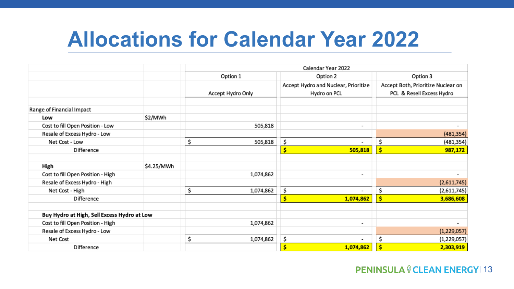### **Allocations for Calendar Year 2022**

|                                             |            | Calendar Year 2022 |                                                      |                                                                 |  |
|---------------------------------------------|------------|--------------------|------------------------------------------------------|-----------------------------------------------------------------|--|
|                                             |            | Option 1           | Option 2                                             |                                                                 |  |
|                                             |            | Accept Hydro Only  | Accept Hydro and Nuclear, Prioritize<br>Hydro on PCL | Accept Both, Prioritize Nuclear on<br>PCL & Resell Excess Hydro |  |
| Range of Financial Impact                   |            |                    |                                                      |                                                                 |  |
| Low                                         | \$2/MWh    |                    |                                                      |                                                                 |  |
| Cost to fill Open Position - Low            |            | 505,818            | $\overline{\phantom{a}}$                             | ٠                                                               |  |
| Resale of Excess Hydro - Low                |            |                    |                                                      | (481, 354)                                                      |  |
| Net Cost - Low                              |            | \$<br>505,818      | \$<br>$\overline{\phantom{a}}$                       | \$<br>(481, 354)                                                |  |
| Difference                                  |            |                    | Ś<br>505,818                                         | \$<br>987,172                                                   |  |
| High                                        | \$4.25/MWh |                    |                                                      |                                                                 |  |
| Cost to fill Open Position - High           |            | 1,074,862          | $\overline{\phantom{a}}$                             |                                                                 |  |
| Resale of Excess Hydro - High               |            |                    |                                                      | (2,611,745)                                                     |  |
| Net Cost - High                             |            | \$<br>1,074,862    | \$<br>$\overline{\phantom{a}}$                       | \$<br>(2,611,745)                                               |  |
| Difference                                  |            |                    | Ś<br>1,074,862                                       | 3,686,608<br>\$                                                 |  |
| Buy Hydro at High, Sell Excess Hydro at Low |            |                    |                                                      |                                                                 |  |
| Cost to fill Open Position - High           |            | 1,074,862          | $\overline{\phantom{a}}$                             | ۰                                                               |  |
| Resale of Excess Hydro - Low                |            |                    |                                                      | (1,229,057)                                                     |  |
| Net Cost                                    |            | \$<br>1,074,862    | \$<br>$\overline{\phantom{a}}$                       | \$<br>(1,229,057)                                               |  |
| Difference                                  |            |                    | \$<br>1,074,862                                      | 2,303,919                                                       |  |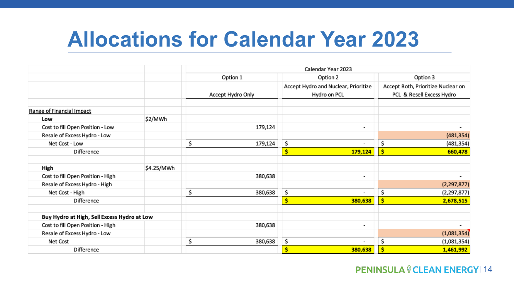### **Allocations for Calendar Year 2023**

|                                             |            | Calendar Year 2023   |                                                      |                                                                 |  |
|---------------------------------------------|------------|----------------------|------------------------------------------------------|-----------------------------------------------------------------|--|
|                                             |            | Option 1<br>Option 2 |                                                      | Option 3                                                        |  |
|                                             |            | Accept Hydro Only    | Accept Hydro and Nuclear, Prioritize<br>Hydro on PCL | Accept Both, Prioritize Nuclear on<br>PCL & Resell Excess Hydro |  |
| Range of Financial Impact                   |            |                      |                                                      |                                                                 |  |
| Low                                         | \$2/MWh    |                      |                                                      |                                                                 |  |
| Cost to fill Open Position - Low            |            | 179,124              | $\overline{\phantom{a}}$                             |                                                                 |  |
| Resale of Excess Hydro - Low                |            |                      |                                                      | (481, 354)                                                      |  |
| Net Cost - Low                              |            | \$<br>179,124        | \$<br>$\overline{\phantom{a}}$                       | Ś<br>(481,354)                                                  |  |
| Difference                                  |            |                      | \$<br>179,124                                        | \$<br>660,478                                                   |  |
| High                                        | \$4.25/MWh |                      |                                                      |                                                                 |  |
| Cost to fill Open Position - High           |            | 380,638              | $\overline{\phantom{a}}$                             | ۰                                                               |  |
| Resale of Excess Hydro - High               |            |                      |                                                      | (2, 297, 877)                                                   |  |
| Net Cost - High                             |            | \$<br>380,638        | \$<br>$\overline{\phantom{a}}$                       | \$<br>(2, 297, 877)                                             |  |
| Difference                                  |            |                      | \$<br>380,638                                        | 2,678,515                                                       |  |
| Buy Hydro at High, Sell Excess Hydro at Low |            |                      |                                                      |                                                                 |  |
| Cost to fill Open Position - High           |            | 380,638              | $\overline{\phantom{a}}$                             |                                                                 |  |
| Resale of Excess Hydro - Low                |            |                      |                                                      | (1,081,354)                                                     |  |
| Net Cost                                    |            | \$<br>380,638        | \$<br>$\overline{\phantom{a}}$                       | \$<br>(1,081,354)                                               |  |
| Difference                                  |            |                      | \$<br>380,638                                        | 1,461,992                                                       |  |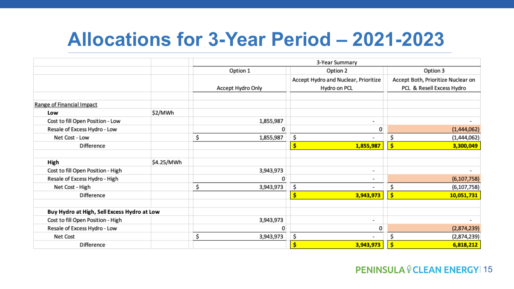### **Allocations for 3-Year Period – 2021-2023**

|                                             |            | 3-Year Summary    |                                                      |                                                                 |  |
|---------------------------------------------|------------|-------------------|------------------------------------------------------|-----------------------------------------------------------------|--|
|                                             |            | Option 1          | Option 2                                             | Option 3                                                        |  |
|                                             |            | Accept Hydro Only | Accept Hydro and Nuclear, Prioritize<br>Hydro on PCL | Accept Both, Prioritize Nuclear on<br>PCL & Resell Excess Hydro |  |
| Range of Financial Impact                   |            |                   |                                                      |                                                                 |  |
| Low                                         | \$2/MWh    |                   |                                                      |                                                                 |  |
| Cost to fill Open Position - Low            |            | 1,855,987         | $\overline{\phantom{a}}$                             |                                                                 |  |
| Resale of Excess Hydro - Low                |            | 0                 | 0                                                    | (1,444,062)                                                     |  |
| Net Cost - Low                              |            | \$<br>1,855,987   | \$                                                   | \$<br>(1,444,062)                                               |  |
| Difference                                  |            |                   | \$<br>1,855,987                                      | \$<br>3,300,049                                                 |  |
| High                                        | \$4.25/MWh |                   |                                                      |                                                                 |  |
| Cost to fill Open Position - High           |            | 3,943,973         | $\overline{\phantom{a}}$                             |                                                                 |  |
| Resale of Excess Hydro - High               |            | O                 | $\overline{\phantom{a}}$                             | (6, 107, 758)                                                   |  |
| Net Cost - High                             |            | \$<br>3,943,973   | \$<br>$\overline{\phantom{a}}$                       | \$<br>(6, 107, 758)                                             |  |
| Difference                                  |            |                   | Ś<br>3,943,973                                       | Ś<br>10,051,731                                                 |  |
| Buy Hydro at High, Sell Excess Hydro at Low |            |                   |                                                      |                                                                 |  |
| Cost to fill Open Position - High           |            | 3,943,973         | $\overline{\phantom{a}}$                             |                                                                 |  |
| Resale of Excess Hydro - Low                |            | 0                 | 0                                                    | (2,874,239)                                                     |  |
| Net Cost                                    |            | \$<br>3,943,973   | \$                                                   | \$<br>(2,874,239)                                               |  |
| Difference                                  |            |                   | Ś<br>3,943,973                                       | Ś<br>6,818,212                                                  |  |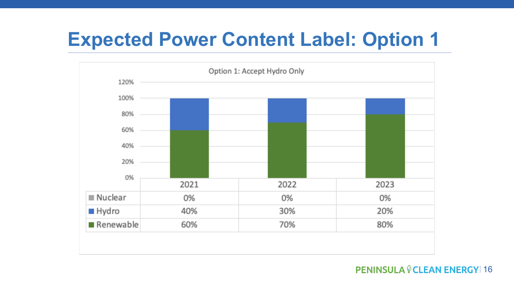### **Expected Power Content Label: Option 1**

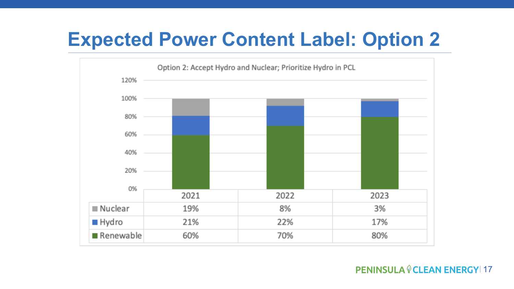### **Expected Power Content Label: Option 2**

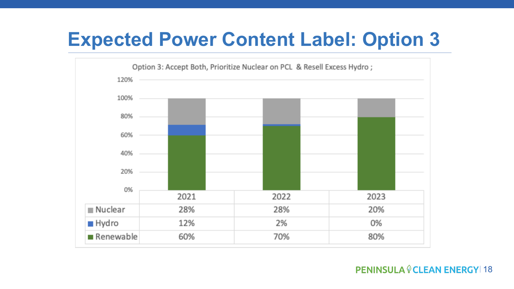### **Expected Power Content Label: Option 3**

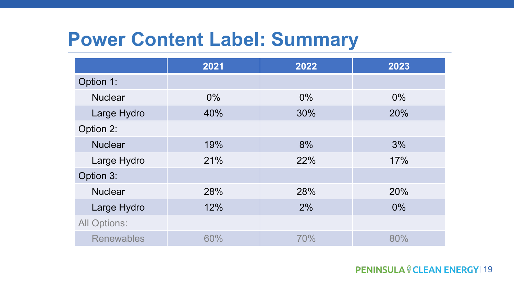### **Power Content Label: Summary**

|                     | 2021  | 2022 | 2023  |
|---------------------|-------|------|-------|
| Option 1:           |       |      |       |
| <b>Nuclear</b>      | $0\%$ | 0%   | $0\%$ |
| Large Hydro         | 40%   | 30%  | 20%   |
| Option 2:           |       |      |       |
| <b>Nuclear</b>      | 19%   | 8%   | 3%    |
| Large Hydro         | 21%   | 22%  | 17%   |
| Option 3:           |       |      |       |
| <b>Nuclear</b>      | 28%   | 28%  | 20%   |
| Large Hydro         | 12%   | 2%   | $0\%$ |
| <b>All Options:</b> |       |      |       |
| <b>Renewables</b>   | 60%   | 70%  | 80%   |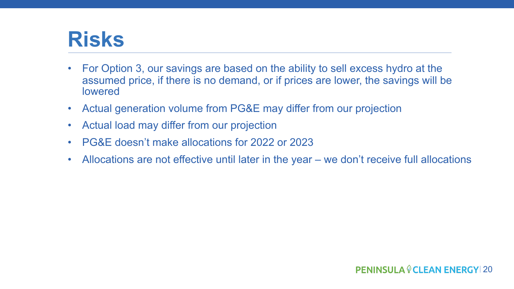### **Risks**

- For Option 3, our savings are based on the ability to sell excess hydro at the assumed price, if there is no demand, or if prices are lower, the savings will be lowered
- Actual generation volume from PG&E may differ from our projection
- Actual load may differ from our projection
- PG&E doesn't make allocations for 2022 or 2023
- Allocations are not effective until later in the year we don't receive full allocations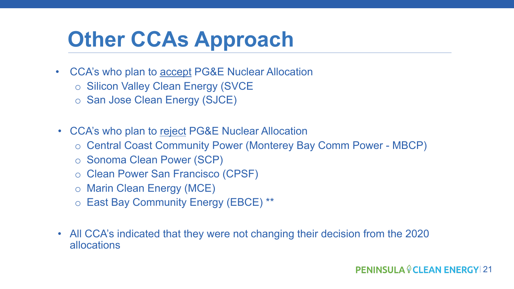# **Other CCAs Approach**

- CCA's who plan to accept PG&E Nuclear Allocation
	- o Silicon Valley Clean Energy (SVCE
	- o San Jose Clean Energy (SJCE)
- CCA's who plan to reject PG&E Nuclear Allocation
	- o Central Coast Community Power (Monterey Bay Comm Power MBCP)
	- o Sonoma Clean Power (SCP)
	- o Clean Power San Francisco (CPSF)
	- o Marin Clean Energy (MCE)
	- o East Bay Community Energy (EBCE) \*\*
- All CCA's indicated that they were not changing their decision from the 2020 allocations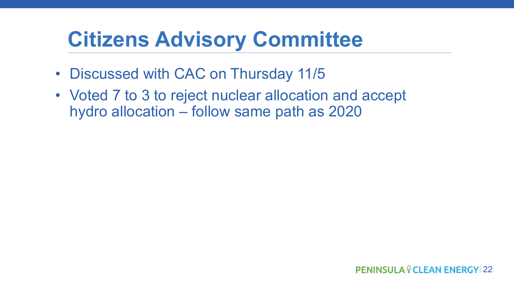# **Citizens Advisory Committee**

- Discussed with CAC on Thursday 11/5
- Voted 7 to 3 to reject nuclear allocation and accept hydro allocation – follow same path as 2020